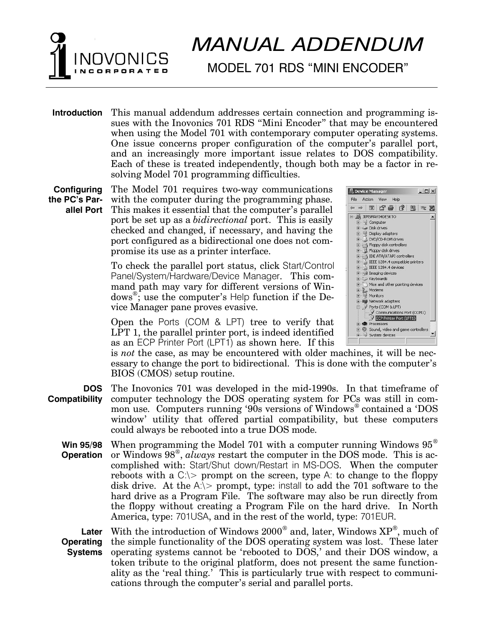## *MANUAL ADDENDUM*

## MODEL 701 RDS "MINI ENCODER"

**Introduction** This manual addendum addresses certain connection and programming issues with the Inovonics 701 RDS "Mini Encoder" that may be encountered when using the Model 701 with contemporary computer operating systems. One issue concerns proper configuration of the computer's parallel port, and an increasingly more important issue relates to DOS compatibility. Each of these is treated independently, though both may be a factor in resolving Model 701 programming difficulties.

**Configuring the PCs Parallel Port** The Model 701 requires two-way communications with the computer during the programming phase. This makes it essential that the computer's parallel port be set up as a *bidirectional* port. This is easily checked and changed, if necessary, and having the port configured as a bidirectional one does not compromise its use as a printer interface.

> To check the parallel port status, click Start/Control Panel/System/Hardware/Device Manager. This command path may vary for different versions of Windows<sup>®</sup>; use the computer's Help function if the Device Manager pane proves evasive.

> Open the Ports (COM & LPT) tree to verify that LPT 1, the parallel printer port, is indeed identified as an ECP Printer Port (LPT1) as shown here. If this



is *not* the case, as may be encountered with older machines, it will be necessary to change the port to bidirectional. This is done with the computer's BIOS (CMOS) setup routine.

**DOS Compatibility** The Inovonics 701 was developed in the mid-1990s. In that timeframe of computer technology the DOS operating system for PCs was still in common use. Computers running '90s versions of Windows<sup>®</sup> contained a 'DOS window utility that offered partial compatibility, but these computers could always be rebooted into a true DOS mode.

**Win 95/98 Operation** When programming the Model 701 with a computer running Windows  $95^{\circ}$ or Windows 98® , *always* restart the computer in the DOS mode. This is accomplished with: Start/Shut down/Restart in MS-DOS. When the computer reboots with a  $C \geq$  prompt on the screen, type A: to change to the floppy disk drive. At the  $A_i$  prompt, type: install to add the 701 software to the hard drive as a Program File. The software may also be run directly from the floppy without creating a Program File on the hard drive. In North America, type: 701USA, and in the rest of the world, type: 701EUR.

**Later Operating Systems** With the introduction of Windows 2000 $^{\circledast}$  and, later, Windows  $\text{XP}^{\circledast},$  much of the simple functionality of the DOS operating system was lost. These later operating systems cannot be 'rebooted to DOS,' and their DOS window, a token tribute to the original platform, does not present the same functionality as the 'real thing.' This is particularly true with respect to communications through the computer's serial and parallel ports.